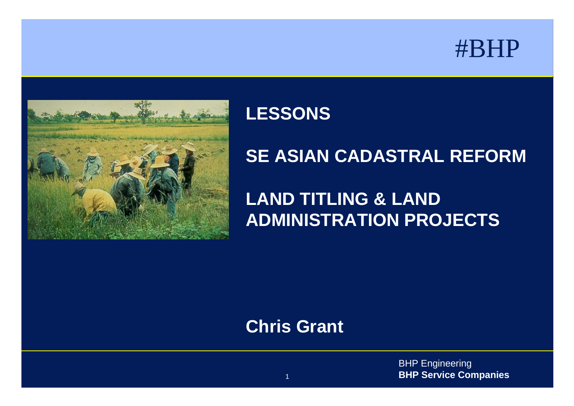



#### **LESSONS**

#### **SE ASIAN CADASTRAL REFORM**

## **LAND TITLING & LAND ADMINISTRATION PROJECTS**

#### **Chris Grant**

BHP Engineering **BHP Service Companies**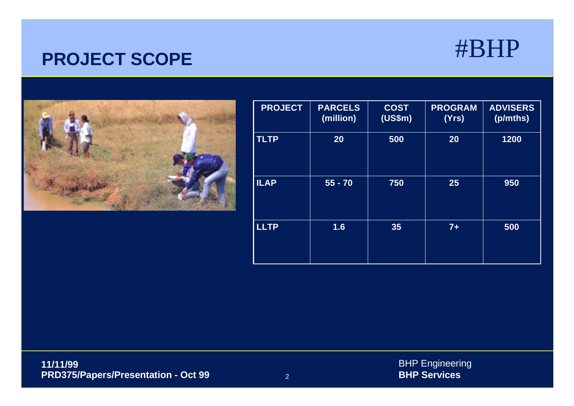#### **PROJECT SCOPE**



| <b>PROJECT</b> | <b>PARCELS</b><br>(million) | <b>COST</b><br>(US\$m) | <b>PROGRAM</b><br>(Yrs) | <b>ADVISERS</b><br>(p/mths) |
|----------------|-----------------------------|------------------------|-------------------------|-----------------------------|
| <b>TLTP</b>    | 20                          | 500                    | 20                      | 1200                        |
| <b>ILAP</b>    | $55 - 70$                   | 750                    | 25                      | 950                         |
| <b>LLTP</b>    | 1.6                         | 35                     | $7+$                    | 500                         |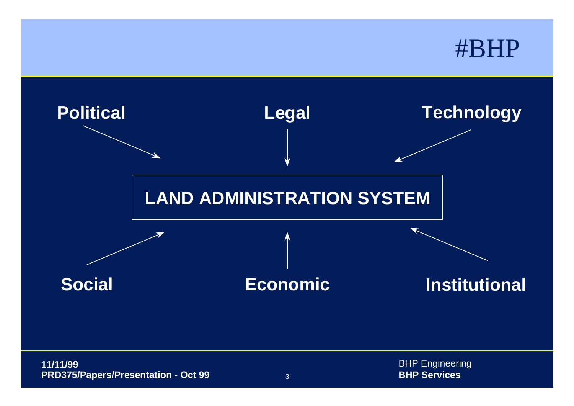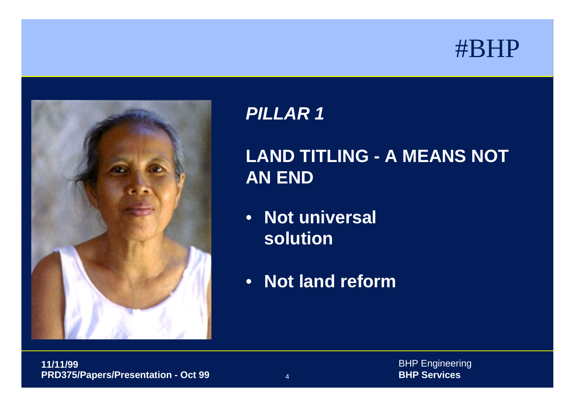



## **LAND TITLING - A MEANS NOT AN END**

- **Not universal solution**
- **Not land reform**

BHP Engineering **BHP Services**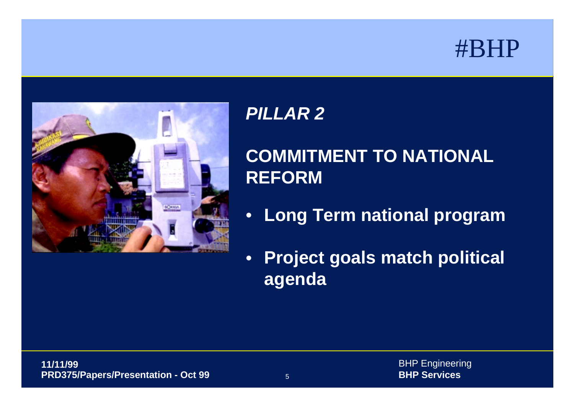



## **COMMITMENT TO NATIONALREFORM**

- **Long Term national program**
- • **Project goals match political agenda**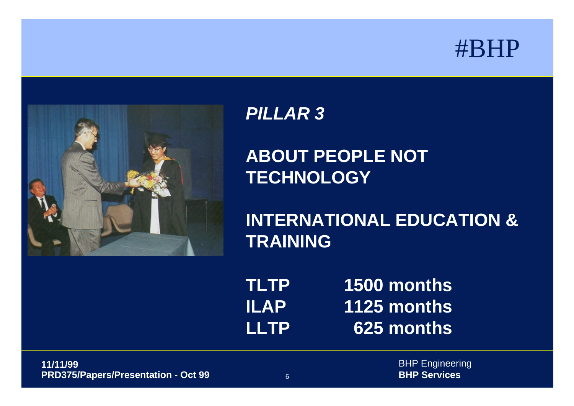



### **ABOUT PEOPLE NOT TECHNOLOGY**

**INTERNATIONAL EDUCATION &TRAINING**

**TLTP 1500 months ILAP 1125 months LLTP 625 months**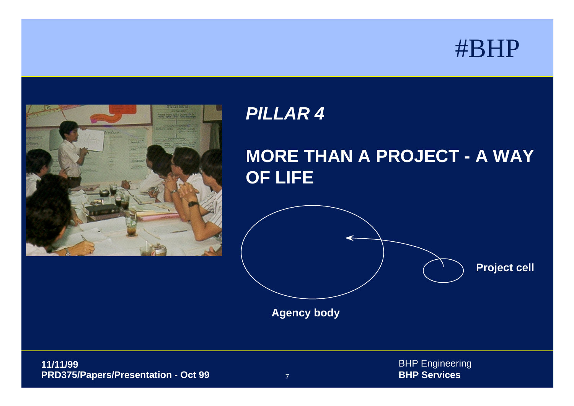



## **MORE THAN A PROJECT - A WAY OF LIFE**



**Agency body**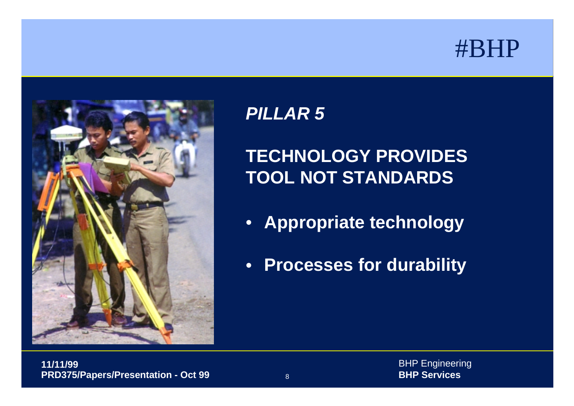



## **TECHNOLOGY PROVIDESTOOL NOT STANDARDS**

- **Appropriate technology**
- **Processes for durability**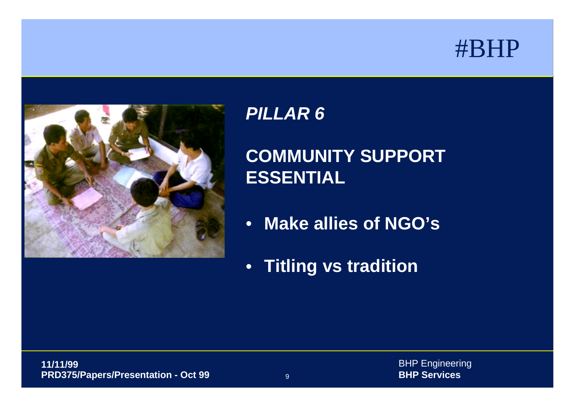



## **COMMUNITY SUPPORT ESSENTIAL**

- **Make allies of NGO's**
- **Titling vs tradition**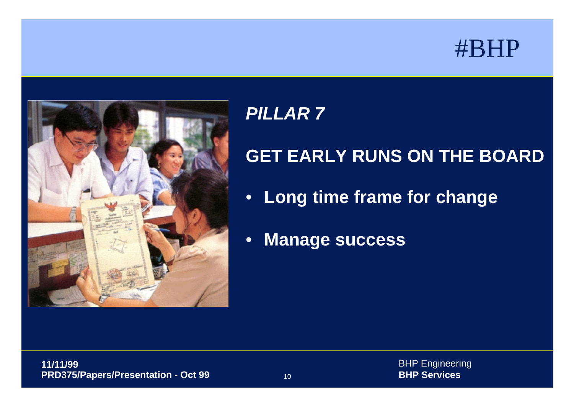

### *PILLAR 7*

## **GET EARLY RUNS ON THE BOARD**

- **Long time frame for change**
- •**Manage success**

BHP Engineering **BHP Services**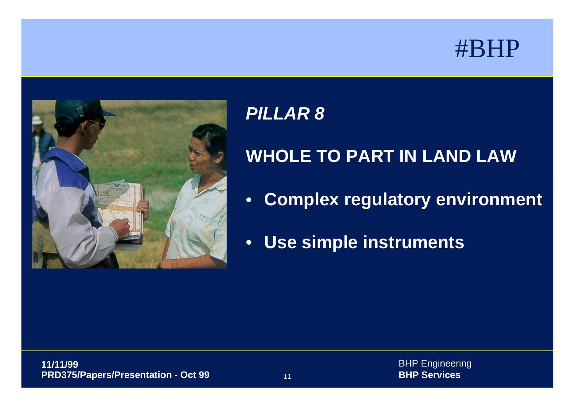

### *PILLAR 8*

## **WHOLE TO PART IN LAND LAW**

- $\bullet$ **Complex regulatory environment**
- **Use simple instruments**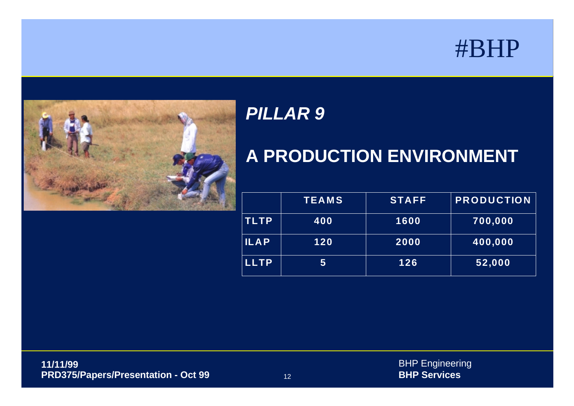

### *PILLAR 9*

### **A PRODUCTION ENVIRONMENT**

|             | <b>TEAMS</b> | <b>STAFF</b> | <b>PRODUCTION</b> |
|-------------|--------------|--------------|-------------------|
| <b>TLTP</b> | 400          | 1600         | 700,000           |
| <b>ILAP</b> | 120          | 2000         | 400,000           |
| <b>LLTP</b> | 5            | 126          | 52,000            |